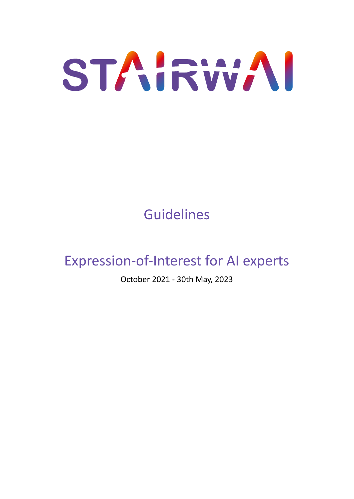

# Guidelines

# Expression-of-Interest for AI experts

October 2021 - 30th May, 2023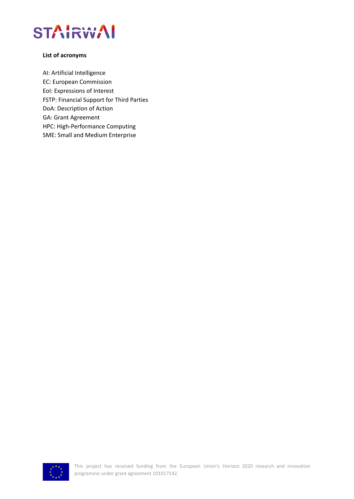

#### **List of acronyms**

AI: Artificial Intelligence EC: European Commission EoI: Expressions of Interest FSTP: Financial Support for Third Parties DoA: Description of Action GA: Grant Agreement HPC: High-Performance Computing SME: Small and Medium Enterprise

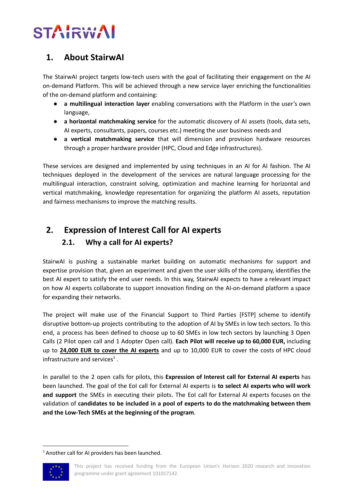# **STAIRW**

# **1. About StairwAI**

The StairwAI project targets low-tech users with the goal of facilitating their engagement on the AI on-demand Platform. This will be achieved through a new service layer enriching the functionalities of the on-demand platform and containing:

- **a multilingual interaction layer** enabling conversations with the Platform in the user's own language,
- **a horizontal matchmaking service** for the automatic discovery of AI assets (tools, data sets, AI experts, consultants, papers, courses etc.) meeting the user business needs and
- **a vertical matchmaking service** that will dimension and provision hardware resources through a proper hardware provider (HPC, Cloud and Edge infrastructures).

These services are designed and implemented by using techniques in an AI for AI fashion. The AI techniques deployed in the development of the services are natural language processing for the multilingual interaction, constraint solving, optimization and machine learning for horizontal and vertical matchmaking, knowledge representation for organizing the platform AI assets, reputation and fairness mechanisms to improve the matching results.

# **2. Expression of Interest Call for AI experts 2.1. Why a call for AI experts?**

StairwAI is pushing a sustainable market building on automatic mechanisms for support and expertise provision that, given an experiment and given the user skills of the company, identifies the best AI expert to satisfy the end user needs. In this way, StairwAI expects to have a relevant impact on how AI experts collaborate to support innovation finding on the AI-on-demand platform a space for expanding their networks.

The project will make use of the Financial Support to Third Parties [FSTP] scheme to identify disruptive bottom-up projects contributing to the adoption of AI by SMEs in low tech sectors. To this end, a process has been defined to choose up to 60 SMEs in low tech sectors by launching 3 Open Calls (2 Pilot open call and 1 Adopter Open call). **Each Pilot will receive up to 60,000 EUR,** including up to **24,000 EUR to cover the AI experts** and up to 10,000 EUR to cover the costs of HPC cloud infrastructure and services<sup>1</sup>.

In parallel to the 2 open calls for pilots, this **Expression of Interest call for External AI experts** has been launched. The goal of the EoI call for External AI experts is **to select AI experts who will work and support** the SMEs in executing their pilots. The EoI call for External AI experts focuses on the validation of **candidates to be included in a pool of experts to do the matchmaking between them and the Low-Tech SMEs at the beginning of the program**.

 $1$  Another call for AI providers has been launched.



This project has received funding from the European Union's Horizon 2020 research and innovation programme under grant agreement 101017142.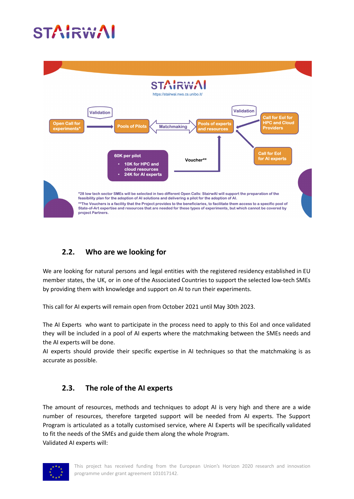# IRW



# **2.2. Who are we looking for**

We are looking for natural persons and legal entities with the registered residency established in EU member states, the UK, or in one of the Associated Countries to support the selected low-tech SMEs by providing them with knowledge and support on AI to run their experiments.

This call for AI experts will remain open from October 2021 until May 30th 2023.

The AI Experts who want to participate in the process need to apply to this EoI and once validated they will be included in a pool of AI experts where the matchmaking between the SMEs needs and the AI experts will be done.

AI experts should provide their specific expertise in AI techniques so that the matchmaking is as accurate as possible.

### **2.3. The role of the AI experts**

The amount of resources, methods and techniques to adopt AI is very high and there are a wide number of resources, therefore targeted support will be needed from AI experts. The Support Program is articulated as a totally customised service, where AI Experts will be specifically validated to fit the needs of the SMEs and guide them along the whole Program. Validated AI experts will:

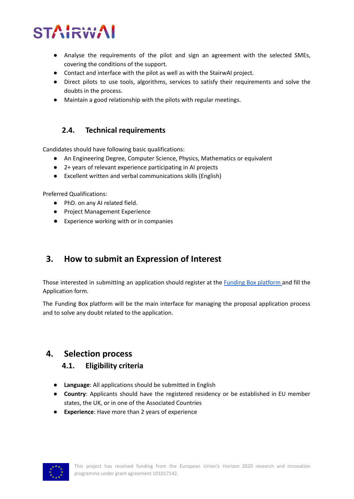# **TAIRW**

- Analyse the requirements of the pilot and sign an agreement with the selected SMEs, covering the conditions of the support.
- Contact and interface with the pilot as well as with the StairwAI project.
- Direct pilots to use tools, algorithms, services to satisfy their requirements and solve the doubts in the process.
- Maintain a good relationship with the pilots with regular meetings.

#### **2.4. Technical requirements**

Candidates should have following basic qualifications:

- An Engineering Degree, Computer Science, Physics, Mathematics or equivalent
- 2+ years of relevant experience participating in AI projects
- Excellent written and verbal communications skills (English)

Preferred Qualifications:

- PhD. on any AI related field.
- Project Management Experience
- Experience working with or in companies

# **3. How to submit an Expression of Interest**

Those interested in submitting an application should register at the Funding Box [platform](https://stairwai-aiexperts.fundingbox.com/) and fill the Application form.

The Funding Box platform will be the main interface for managing the proposal application process and to solve any doubt related to the application.

## **4. Selection process**

#### **4.1. Eligibility criteria**

- **Language**: All applications should be submitted in English
- **Country**: Applicants should have the registered residency or be established in EU member states, the UK, or in one of the Associated Countries
- **Experience**: Have more than 2 years of experience

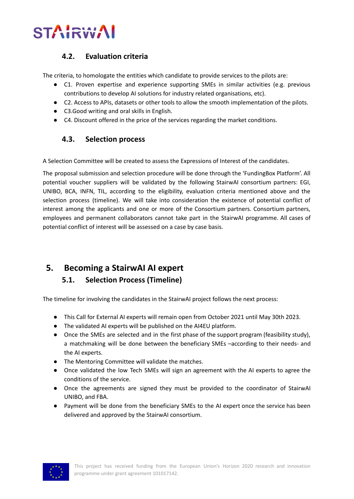

#### **4.2. Evaluation criteria**

The criteria, to homologate the entities which candidate to provide services to the pilots are:

- C1. Proven expertise and experience supporting SMEs in similar activities (e.g. previous contributions to develop AI solutions for industry related organisations, etc).
- C2. Access to APIs, datasets or other tools to allow the smooth implementation of the pilots.
- C3.Good writing and oral skills in English.
- C4. Discount offered in the price of the services regarding the market conditions.

#### **4.3. Selection process**

A Selection Committee will be created to assess the Expressions of Interest of the candidates.

The proposal submission and selection procedure will be done through the 'FundingBox Platform'. All potential voucher suppliers will be validated by the following StairwAI consortium partners: EGI, UNIBO, BCA, INFN, TIL, according to the eligibility, evaluation criteria mentioned above and the selection process (timeline). We will take into consideration the existence of potential conflict of interest among the applicants and one or more of the Consortium partners. Consortium partners, employees and permanent collaborators cannot take part in the StairwAI programme. All cases of potential conflict of interest will be assessed on a case by case basis.

## **5. Becoming a StairwAI AI expert**

#### **5.1. Selection Process (Timeline)**

The timeline for involving the candidates in the StairwAI project follows the next process:

- This Call for External AI experts will remain open from October 2021 until May 30th 2023.
- The validated AI experts will be published on the AI4EU platform.
- Once the SMEs are selected and in the first phase of the support program (feasibility study), a matchmaking will be done between the beneficiary SMEs –according to their needs- and the AI experts.
- The Mentoring Committee will validate the matches.
- Once validated the low Tech SMEs will sign an agreement with the AI experts to agree the conditions of the service.
- Once the agreements are signed they must be provided to the coordinator of StairwAI UNIBO, and FBA.
- Payment will be done from the beneficiary SMEs to the AI expert once the service has been delivered and approved by the StairwAI consortium.